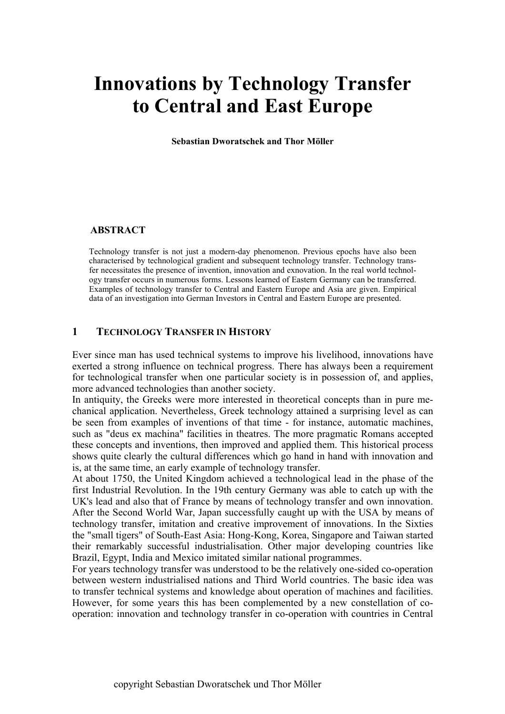# **Innovations by Technology Transfer to Central and East Europe**

**Sebastian Dworatschek and Thor Möller** 

#### **ABSTRACT**

Technology transfer is not just a modern-day phenomenon. Previous epochs have also been characterised by technological gradient and subsequent technology transfer. Technology transfer necessitates the presence of invention, innovation and exnovation. In the real world technology transfer occurs in numerous forms. Lessons learned of Eastern Germany can be transferred. Examples of technology transfer to Central and Eastern Europe and Asia are given. Empirical data of an investigation into German Investors in Central and Eastern Europe are presented.

#### **1 TECHNOLOGY TRANSFER IN HISTORY**

Ever since man has used technical systems to improve his livelihood, innovations have exerted a strong influence on technical progress. There has always been a requirement for technological transfer when one particular society is in possession of, and applies, more advanced technologies than another society.

In antiquity, the Greeks were more interested in theoretical concepts than in pure mechanical application. Nevertheless, Greek technology attained a surprising level as can be seen from examples of inventions of that time - for instance, automatic machines, such as "deus ex machina" facilities in theatres. The more pragmatic Romans accepted these concepts and inventions, then improved and applied them. This historical process shows quite clearly the cultural differences which go hand in hand with innovation and is, at the same time, an early example of technology transfer.

At about 1750, the United Kingdom achieved a technological lead in the phase of the first Industrial Revolution. In the 19th century Germany was able to catch up with the UK's lead and also that of France by means of technology transfer and own innovation. After the Second World War, Japan successfully caught up with the USA by means of technology transfer, imitation and creative improvement of innovations. In the Sixties the "small tigers" of South-East Asia: Hong-Kong, Korea, Singapore and Taiwan started their remarkably successful industrialisation. Other major developing countries like Brazil, Egypt, India and Mexico imitated similar national programmes.

For years technology transfer was understood to be the relatively one-sided co-operation between western industrialised nations and Third World countries. The basic idea was to transfer technical systems and knowledge about operation of machines and facilities. However, for some years this has been complemented by a new constellation of cooperation: innovation and technology transfer in co-operation with countries in Central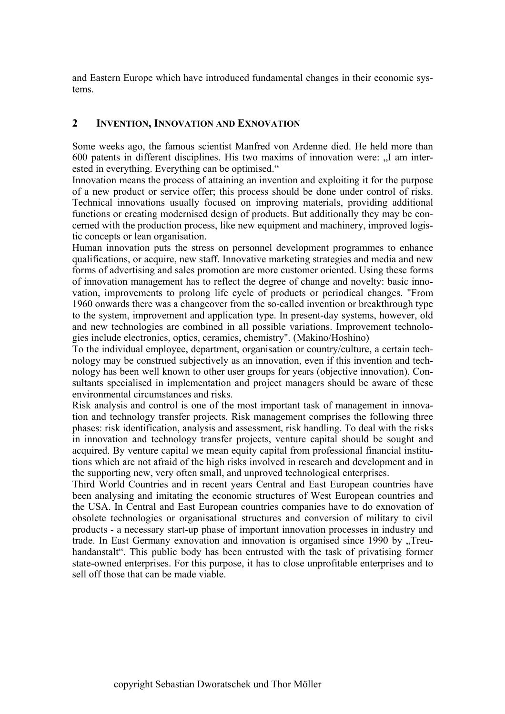and Eastern Europe which have introduced fundamental changes in their economic systems.

## **2 INVENTION, INNOVATION AND EXNOVATION**

Some weeks ago, the famous scientist Manfred von Ardenne died. He held more than 600 patents in different disciplines. His two maxims of innovation were: "I am interested in everything. Everything can be optimised."

Innovation means the process of attaining an invention and exploiting it for the purpose of a new product or service offer; this process should be done under control of risks. Technical innovations usually focused on improving materials, providing additional functions or creating modernised design of products. But additionally they may be concerned with the production process, like new equipment and machinery, improved logistic concepts or lean organisation.

Human innovation puts the stress on personnel development programmes to enhance qualifications, or acquire, new staff. Innovative marketing strategies and media and new forms of advertising and sales promotion are more customer oriented. Using these forms of innovation management has to reflect the degree of change and novelty: basic innovation, improvements to prolong life cycle of products or periodical changes. "From 1960 onwards there was a changeover from the so-called invention or breakthrough type to the system, improvement and application type. In present-day systems, however, old and new technologies are combined in all possible variations. Improvement technologies include electronics, optics, ceramics, chemistry". (Makino/Hoshino)

To the individual employee, department, organisation or country/culture, a certain technology may be construed subjectively as an innovation, even if this invention and technology has been well known to other user groups for years (objective innovation). Consultants specialised in implementation and project managers should be aware of these environmental circumstances and risks.

Risk analysis and control is one of the most important task of management in innovation and technology transfer projects. Risk management comprises the following three phases: risk identification, analysis and assessment, risk handling. To deal with the risks in innovation and technology transfer projects, venture capital should be sought and acquired. By venture capital we mean equity capital from professional financial institutions which are not afraid of the high risks involved in research and development and in the supporting new, very often small, and unproved technological enterprises.

Third World Countries and in recent years Central and East European countries have been analysing and imitating the economic structures of West European countries and the USA. In Central and East European countries companies have to do exnovation of obsolete technologies or organisational structures and conversion of military to civil products - a necessary start-up phase of important innovation processes in industry and trade. In East Germany exnovation and innovation is organised since 1990 by "Treuhandanstalt". This public body has been entrusted with the task of privatising former state-owned enterprises. For this purpose, it has to close unprofitable enterprises and to sell off those that can be made viable.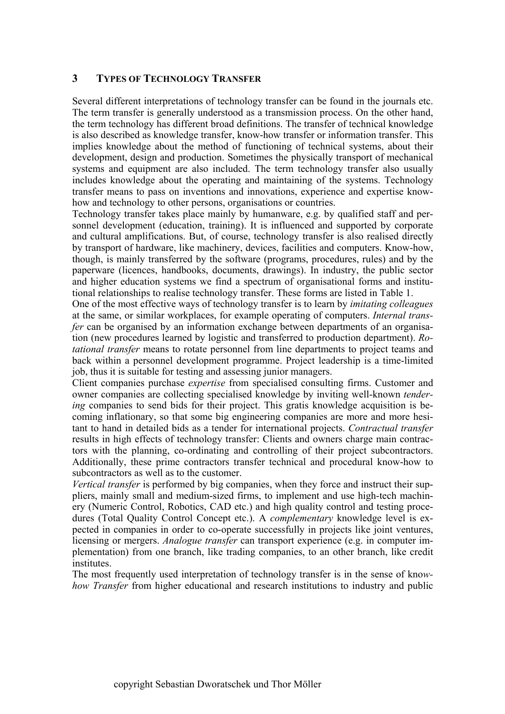## **3 TYPES OF TECHNOLOGY TRANSFER**

Several different interpretations of technology transfer can be found in the journals etc. The term transfer is generally understood as a transmission process. On the other hand, the term technology has different broad definitions. The transfer of technical knowledge is also described as knowledge transfer, know-how transfer or information transfer. This implies knowledge about the method of functioning of technical systems, about their development, design and production. Sometimes the physically transport of mechanical systems and equipment are also included. The term technology transfer also usually includes knowledge about the operating and maintaining of the systems. Technology transfer means to pass on inventions and innovations, experience and expertise knowhow and technology to other persons, organisations or countries.

Technology transfer takes place mainly by humanware, e.g. by qualified staff and personnel development (education, training). It is influenced and supported by corporate and cultural amplifications. But, of course, technology transfer is also realised directly by transport of hardware, like machinery, devices, facilities and computers. Know-how, though, is mainly transferred by the software (programs, procedures, rules) and by the paperware (licences, handbooks, documents, drawings). In industry, the public sector and higher education systems we find a spectrum of organisational forms and institutional relationships to realise technology transfer. These forms are listed in Table 1.

One of the most effective ways of technology transfer is to learn by *imitating colleagues* at the same, or similar workplaces, for example operating of computers. *Internal transfer* can be organised by an information exchange between departments of an organisation (new procedures learned by logistic and transferred to production department). *Rotational transfer* means to rotate personnel from line departments to project teams and back within a personnel development programme. Project leadership is a time-limited job, thus it is suitable for testing and assessing junior managers.

Client companies purchase *expertise* from specialised consulting firms. Customer and owner companies are collecting specialised knowledge by inviting well-known *tendering* companies to send bids for their project. This gratis knowledge acquisition is becoming inflationary, so that some big engineering companies are more and more hesitant to hand in detailed bids as a tender for international projects. *Contractual transfer* results in high effects of technology transfer: Clients and owners charge main contractors with the planning, co-ordinating and controlling of their project subcontractors. Additionally, these prime contractors transfer technical and procedural know-how to subcontractors as well as to the customer.

*Vertical transfer* is performed by big companies, when they force and instruct their suppliers, mainly small and medium-sized firms, to implement and use high-tech machinery (Numeric Control, Robotics, CAD etc.) and high quality control and testing procedures (Total Quality Control Concept etc.). A *complementary* knowledge level is expected in companies in order to co-operate successfully in projects like joint ventures, licensing or mergers. *Analogue transfer* can transport experience (e.g. in computer implementation) from one branch, like trading companies, to an other branch, like credit institutes.

The most frequently used interpretation of technology transfer is in the sense of kno*whow Transfer* from higher educational and research institutions to industry and public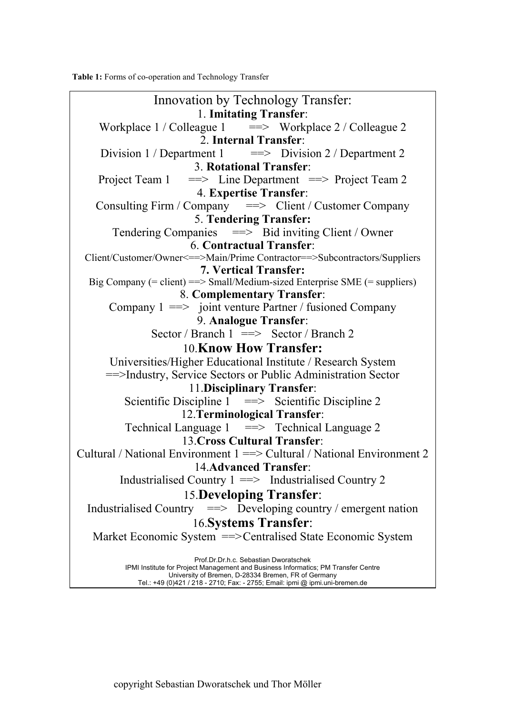**Table 1:** Forms of co-operation and Technology Transfer

Innovation by Technology Transfer: 1. **Imitating Transfer**: Workplace  $1 /$  Colleague  $1 = \gg$  Workplace  $2 /$  Colleague 2 2. **Internal Transfer**: Division 1 / Department 1  $\qquad \implies$  Division 2 / Department 2 3. **Rotational Transfer**: Project Team  $1 \implies$  Line Department = Project Team 2 4. **Expertise Transfer**: Consulting Firm / Company  $\implies$  Client / Customer Company 5. **Tendering Transfer:**  Tendering Companies = > Bid inviting Client / Owner 6. **Contractual Transfer**: Client/Customer/Owner<==>Main/Prime Contractor==>Subcontractors/Suppliers **7. Vertical Transfer:**  Big Company  $(=$  client $) \implies$  Small/Medium-sized Enterprise SME  $(=$  suppliers $)$ 8. **Complementary Transfer**: Company  $1 \equiv \equiv$  joint venture Partner / fusioned Company 9. **Analogue Transfer**: Sector / Branch  $1 \implies$  Sector / Branch 2 10.**Know How Transfer:**  Universities/Higher Educational Institute / Research System ==>Industry, Service Sectors or Public Administration Sector 11.**Disciplinary Transfer**: Scientific Discipline  $1 \implies$  Scientific Discipline 2 12.**Terminological Transfer**: Technical Language  $1 \implies$  Technical Language 2 13.**Cross Cultural Transfer**: Cultural / National Environment 1 ==> Cultural / National Environment 2 14.**Advanced Transfer**: Industrialised Country  $1 \rightleftharpoons$  Industrialised Country 2 15.**Developing Transfer**: Industrialised Country  $\implies$  Developing country / emergent nation 16.**Systems Transfer**: Market Economic System ==> Centralised State Economic System Prof.Dr.Dr.h.c. Sebastian Dworatschek IPMI Institute for Project Management and Business Informatics; PM Transfer Centre University of Bremen, D-28334 Bremen, FR of Germany

Tel.: +49 (0)421 / 218 - 2710; Fax: - 2755; Email: ipmi @ ipmi.uni-bremen.de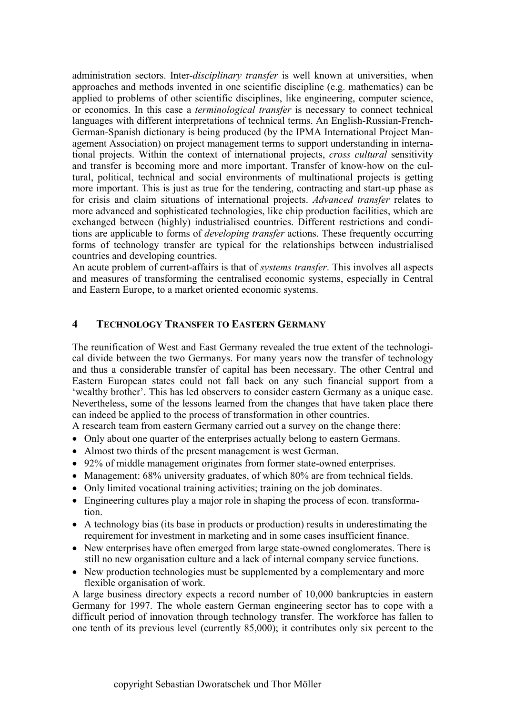administration sectors. Inter-*disciplinary transfer* is well known at universities, when approaches and methods invented in one scientific discipline (e.g. mathematics) can be applied to problems of other scientific disciplines, like engineering, computer science, or economics. In this case a *terminological transfer* is necessary to connect technical languages with different interpretations of technical terms. An English-Russian-French-German-Spanish dictionary is being produced (by the IPMA International Project Management Association) on project management terms to support understanding in international projects. Within the context of international projects, *cross cultural* sensitivity and transfer is becoming more and more important. Transfer of know-how on the cultural, political, technical and social environments of multinational projects is getting more important. This is just as true for the tendering, contracting and start-up phase as for crisis and claim situations of international projects. *Advanced transfer* relates to more advanced and sophisticated technologies, like chip production facilities, which are exchanged between (highly) industrialised countries. Different restrictions and conditions are applicable to forms of *developing transfer* actions. These frequently occurring forms of technology transfer are typical for the relationships between industrialised countries and developing countries.

An acute problem of current-affairs is that of *systems transfer*. This involves all aspects and measures of transforming the centralised economic systems, especially in Central and Eastern Europe, to a market oriented economic systems.

## **4 TECHNOLOGY TRANSFER TO EASTERN GERMANY**

The reunification of West and East Germany revealed the true extent of the technological divide between the two Germanys. For many years now the transfer of technology and thus a considerable transfer of capital has been necessary. The other Central and Eastern European states could not fall back on any such financial support from a 'wealthy brother'. This has led observers to consider eastern Germany as a unique case. Nevertheless, some of the lessons learned from the changes that have taken place there can indeed be applied to the process of transformation in other countries.

A research team from eastern Germany carried out a survey on the change there:

- Only about one quarter of the enterprises actually belong to eastern Germans.
- Almost two thirds of the present management is west German.
- 92% of middle management originates from former state-owned enterprises.
- Management: 68% university graduates, of which 80% are from technical fields.
- Only limited vocational training activities; training on the job dominates.
- Engineering cultures play a major role in shaping the process of econ. transformation.
- A technology bias (its base in products or production) results in underestimating the requirement for investment in marketing and in some cases insufficient finance.
- New enterprises have often emerged from large state-owned conglomerates. There is still no new organisation culture and a lack of internal company service functions.
- New production technologies must be supplemented by a complementary and more flexible organisation of work.

A large business directory expects a record number of 10,000 bankruptcies in eastern Germany for 1997. The whole eastern German engineering sector has to cope with a difficult period of innovation through technology transfer. The workforce has fallen to one tenth of its previous level (currently 85,000); it contributes only six percent to the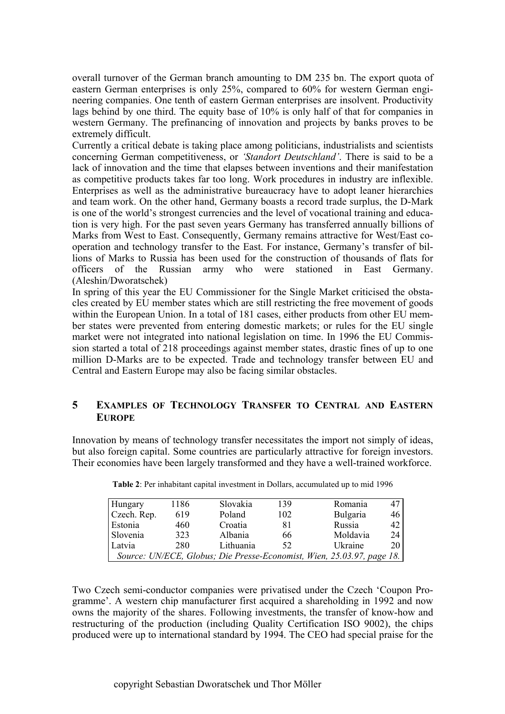overall turnover of the German branch amounting to DM 235 bn. The export quota of eastern German enterprises is only 25%, compared to 60% for western German engineering companies. One tenth of eastern German enterprises are insolvent. Productivity lags behind by one third. The equity base of 10% is only half of that for companies in western Germany. The prefinancing of innovation and projects by banks proves to be extremely difficult.

Currently a critical debate is taking place among politicians, industrialists and scientists concerning German competitiveness, or *'Standort Deutschland'*. There is said to be a lack of innovation and the time that elapses between inventions and their manifestation as competitive products takes far too long. Work procedures in industry are inflexible. Enterprises as well as the administrative bureaucracy have to adopt leaner hierarchies and team work. On the other hand, Germany boasts a record trade surplus, the D-Mark is one of the world's strongest currencies and the level of vocational training and education is very high. For the past seven years Germany has transferred annually billions of Marks from West to East. Consequently, Germany remains attractive for West/East cooperation and technology transfer to the East. For instance, Germany's transfer of billions of Marks to Russia has been used for the construction of thousands of flats for officers of the Russian army who were stationed in East Germany. (Aleshin/Dworatschek)

In spring of this year the EU Commissioner for the Single Market criticised the obstacles created by EU member states which are still restricting the free movement of goods within the European Union. In a total of 181 cases, either products from other EU member states were prevented from entering domestic markets; or rules for the EU single market were not integrated into national legislation on time. In 1996 the EU Commission started a total of 218 proceedings against member states, drastic fines of up to one million D-Marks are to be expected. Trade and technology transfer between EU and Central and Eastern Europe may also be facing similar obstacles.

## **5 EXAMPLES OF TECHNOLOGY TRANSFER TO CENTRAL AND EASTERN EUROPE**

Innovation by means of technology transfer necessitates the import not simply of ideas, but also foreign capital. Some countries are particularly attractive for foreign investors. Their economies have been largely transformed and they have a well-trained workforce.

| Hungary     | 1186 | Slovakia  | 139 | Romania                                                                | 47 I |
|-------------|------|-----------|-----|------------------------------------------------------------------------|------|
| Czech. Rep. | 619  | Poland    | 102 | Bulgaria                                                               | 46   |
| Estonia     | 460  | Croatia   | 81  | Russia                                                                 | 42 I |
| Slovenia    | 323  | Albania   | 66  | Moldavia                                                               | 24   |
| Latvia      | 280  | Lithuania | 52  | Ukraine                                                                | 20 I |
|             |      |           |     | Source: UN/ECE, Globus; Die Presse-Economist, Wien, 25.03.97, page 18. |      |

**Table 2**: Per inhabitant capital investment in Dollars, accumulated up to mid 1996

Two Czech semi-conductor companies were privatised under the Czech 'Coupon Programme'. A western chip manufacturer first acquired a shareholding in 1992 and now owns the majority of the shares. Following investments, the transfer of know-how and restructuring of the production (including Quality Certification ISO 9002), the chips produced were up to international standard by 1994. The CEO had special praise for the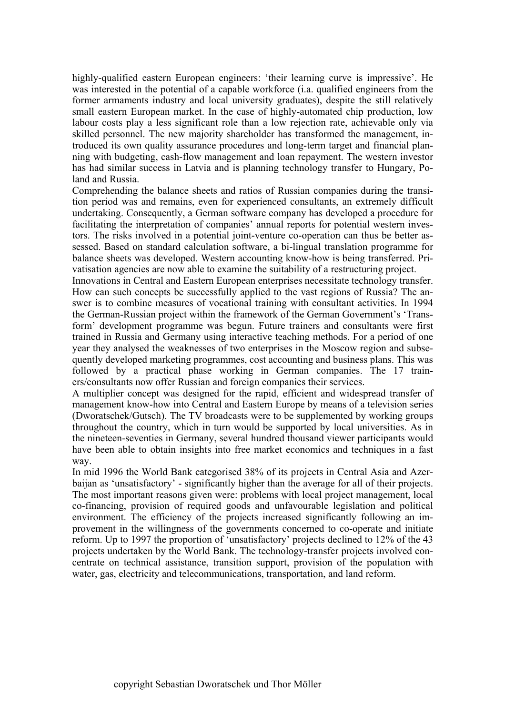highly-qualified eastern European engineers: 'their learning curve is impressive'. He was interested in the potential of a capable workforce (i.a. qualified engineers from the former armaments industry and local university graduates), despite the still relatively small eastern European market. In the case of highly-automated chip production, low labour costs play a less significant role than a low rejection rate, achievable only via skilled personnel. The new majority shareholder has transformed the management, introduced its own quality assurance procedures and long-term target and financial planning with budgeting, cash-flow management and loan repayment. The western investor has had similar success in Latvia and is planning technology transfer to Hungary, Poland and Russia.

Comprehending the balance sheets and ratios of Russian companies during the transition period was and remains, even for experienced consultants, an extremely difficult undertaking. Consequently, a German software company has developed a procedure for facilitating the interpretation of companies' annual reports for potential western investors. The risks involved in a potential joint-venture co-operation can thus be better assessed. Based on standard calculation software, a bi-lingual translation programme for balance sheets was developed. Western accounting know-how is being transferred. Privatisation agencies are now able to examine the suitability of a restructuring project.

Innovations in Central and Eastern European enterprises necessitate technology transfer. How can such concepts be successfully applied to the vast regions of Russia? The answer is to combine measures of vocational training with consultant activities. In 1994 the German-Russian project within the framework of the German Government's 'Transform' development programme was begun. Future trainers and consultants were first trained in Russia and Germany using interactive teaching methods. For a period of one year they analysed the weaknesses of two enterprises in the Moscow region and subsequently developed marketing programmes, cost accounting and business plans. This was followed by a practical phase working in German companies. The 17 trainers/consultants now offer Russian and foreign companies their services.

A multiplier concept was designed for the rapid, efficient and widespread transfer of management know-how into Central and Eastern Europe by means of a television series (Dworatschek/Gutsch). The TV broadcasts were to be supplemented by working groups throughout the country, which in turn would be supported by local universities. As in the nineteen-seventies in Germany, several hundred thousand viewer participants would have been able to obtain insights into free market economics and techniques in a fast way.

In mid 1996 the World Bank categorised 38% of its projects in Central Asia and Azerbaijan as 'unsatisfactory' - significantly higher than the average for all of their projects. The most important reasons given were: problems with local project management, local co-financing, provision of required goods and unfavourable legislation and political environment. The efficiency of the projects increased significantly following an improvement in the willingness of the governments concerned to co-operate and initiate reform. Up to 1997 the proportion of 'unsatisfactory' projects declined to 12% of the 43 projects undertaken by the World Bank. The technology-transfer projects involved concentrate on technical assistance, transition support, provision of the population with water, gas, electricity and telecommunications, transportation, and land reform.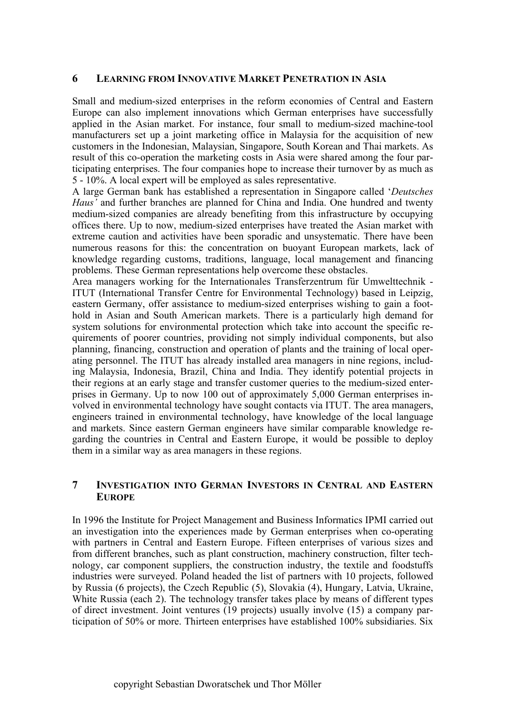#### **6 LEARNING FROM INNOVATIVE MARKET PENETRATION IN ASIA**

Small and medium-sized enterprises in the reform economies of Central and Eastern Europe can also implement innovations which German enterprises have successfully applied in the Asian market. For instance, four small to medium-sized machine-tool manufacturers set up a joint marketing office in Malaysia for the acquisition of new customers in the Indonesian, Malaysian, Singapore, South Korean and Thai markets. As result of this co-operation the marketing costs in Asia were shared among the four participating enterprises. The four companies hope to increase their turnover by as much as 5 - 10%. A local expert will be employed as sales representative.

A large German bank has established a representation in Singapore called '*Deutsches Haus'* and further branches are planned for China and India. One hundred and twenty medium-sized companies are already benefiting from this infrastructure by occupying offices there. Up to now, medium-sized enterprises have treated the Asian market with extreme caution and activities have been sporadic and unsystematic. There have been numerous reasons for this: the concentration on buoyant European markets, lack of knowledge regarding customs, traditions, language, local management and financing problems. These German representations help overcome these obstacles.

Area managers working for the Internationales Transferzentrum für Umwelttechnik - ITUT (International Transfer Centre for Environmental Technology) based in Leipzig, eastern Germany, offer assistance to medium-sized enterprises wishing to gain a foothold in Asian and South American markets. There is a particularly high demand for system solutions for environmental protection which take into account the specific requirements of poorer countries, providing not simply individual components, but also planning, financing, construction and operation of plants and the training of local operating personnel. The ITUT has already installed area managers in nine regions, including Malaysia, Indonesia, Brazil, China and India. They identify potential projects in their regions at an early stage and transfer customer queries to the medium-sized enterprises in Germany. Up to now 100 out of approximately 5,000 German enterprises involved in environmental technology have sought contacts via ITUT. The area managers, engineers trained in environmental technology, have knowledge of the local language and markets. Since eastern German engineers have similar comparable knowledge regarding the countries in Central and Eastern Europe, it would be possible to deploy them in a similar way as area managers in these regions.

## **7 INVESTIGATION INTO GERMAN INVESTORS IN CENTRAL AND EASTERN EUROPE**

In 1996 the Institute for Project Management and Business Informatics IPMI carried out an investigation into the experiences made by German enterprises when co-operating with partners in Central and Eastern Europe. Fifteen enterprises of various sizes and from different branches, such as plant construction, machinery construction, filter technology, car component suppliers, the construction industry, the textile and foodstuffs industries were surveyed. Poland headed the list of partners with 10 projects, followed by Russia (6 projects), the Czech Republic (5), Slovakia (4), Hungary, Latvia, Ukraine, White Russia (each 2). The technology transfer takes place by means of different types of direct investment. Joint ventures (19 projects) usually involve (15) a company participation of 50% or more. Thirteen enterprises have established 100% subsidiaries. Six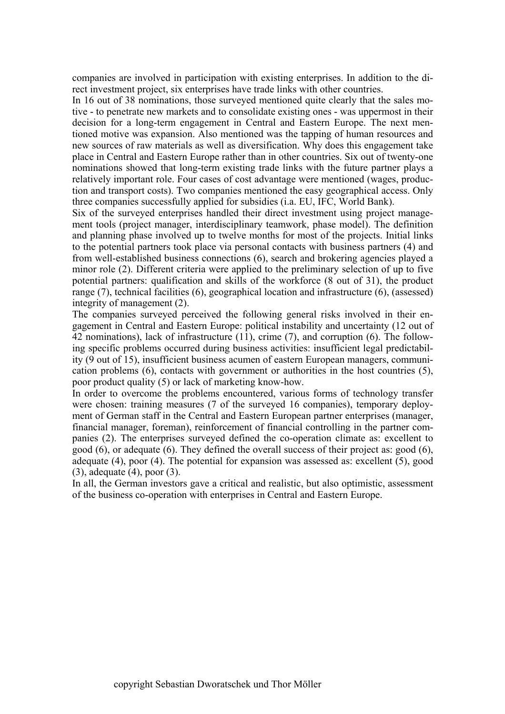companies are involved in participation with existing enterprises. In addition to the direct investment project, six enterprises have trade links with other countries.

In 16 out of 38 nominations, those surveyed mentioned quite clearly that the sales motive - to penetrate new markets and to consolidate existing ones - was uppermost in their decision for a long-term engagement in Central and Eastern Europe. The next mentioned motive was expansion. Also mentioned was the tapping of human resources and new sources of raw materials as well as diversification. Why does this engagement take place in Central and Eastern Europe rather than in other countries. Six out of twenty-one nominations showed that long-term existing trade links with the future partner plays a relatively important role. Four cases of cost advantage were mentioned (wages, production and transport costs). Two companies mentioned the easy geographical access. Only three companies successfully applied for subsidies (i.a. EU, IFC, World Bank).

Six of the surveyed enterprises handled their direct investment using project management tools (project manager, interdisciplinary teamwork, phase model). The definition and planning phase involved up to twelve months for most of the projects. Initial links to the potential partners took place via personal contacts with business partners (4) and from well-established business connections (6), search and brokering agencies played a minor role (2). Different criteria were applied to the preliminary selection of up to five potential partners: qualification and skills of the workforce (8 out of 31), the product range (7), technical facilities (6), geographical location and infrastructure (6), (assessed) integrity of management (2).

The companies surveyed perceived the following general risks involved in their engagement in Central and Eastern Europe: political instability and uncertainty (12 out of 42 nominations), lack of infrastructure (11), crime (7), and corruption (6). The following specific problems occurred during business activities: insufficient legal predictability (9 out of 15), insufficient business acumen of eastern European managers, communication problems (6), contacts with government or authorities in the host countries (5), poor product quality (5) or lack of marketing know-how.

In order to overcome the problems encountered, various forms of technology transfer were chosen: training measures (7 of the surveyed 16 companies), temporary deployment of German staff in the Central and Eastern European partner enterprises (manager, financial manager, foreman), reinforcement of financial controlling in the partner companies (2). The enterprises surveyed defined the co-operation climate as: excellent to good (6), or adequate (6). They defined the overall success of their project as: good (6), adequate (4), poor (4). The potential for expansion was assessed as: excellent (5), good (3), adequate (4), poor (3).

In all, the German investors gave a critical and realistic, but also optimistic, assessment of the business co-operation with enterprises in Central and Eastern Europe.